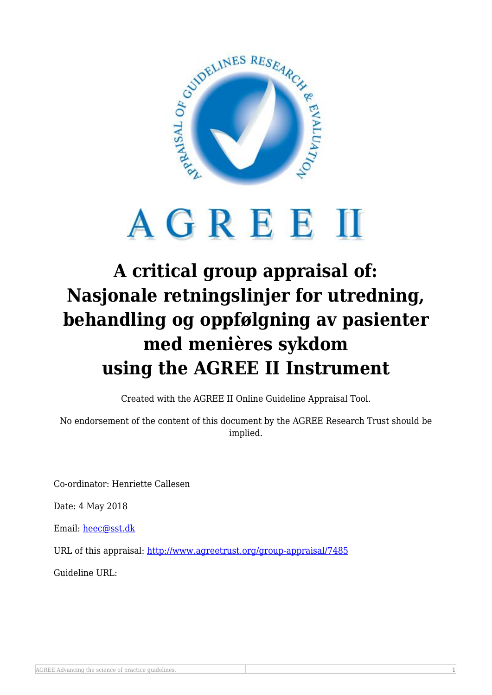

## AGREEM

## **A critical group appraisal of: Nasjonale retningslinjer for utredning, behandling og oppfølgning av pasienter med menières sykdom using the AGREE II Instrument**

Created with the AGREE II Online Guideline Appraisal Tool.

No endorsement of the content of this document by the AGREE Research Trust should be implied.

Co-ordinator: Henriette Callesen

Date: 4 May 2018

Email: [heec@sst.dk](mailto:heec@sst.dk)

URL of this appraisal:<http://www.agreetrust.org/group-appraisal/7485>

Guideline URL: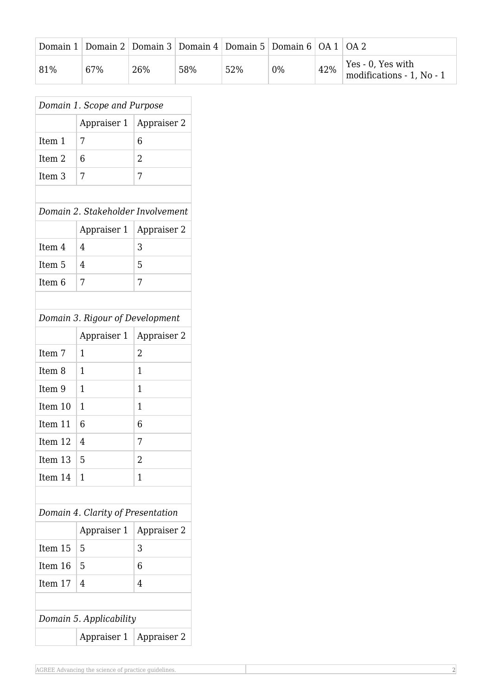|     | Domain 1   Domain 2   Domain 3   Domain 4   Domain 5   Domain 6   OA 1   OA 2 |     |     |     |    |     |                                                              |
|-----|-------------------------------------------------------------------------------|-----|-----|-----|----|-----|--------------------------------------------------------------|
| 81% | 67%                                                                           | 26% | 58% | 52% | 0% | 42% | Yes - 0, Yes with<br>$\frac{1}{2}$ modifications - 1, No - 1 |

| Domain 1. Scope and Purpose       |             |                |  |  |  |  |  |  |
|-----------------------------------|-------------|----------------|--|--|--|--|--|--|
|                                   | Appraiser 1 | Appraiser 2    |  |  |  |  |  |  |
| Item 1                            | 7           | 6              |  |  |  |  |  |  |
| Item <sub>2</sub>                 | 6           | 2              |  |  |  |  |  |  |
| Item <sub>3</sub>                 | 7           | 7              |  |  |  |  |  |  |
|                                   |             |                |  |  |  |  |  |  |
| Domain 2. Stakeholder Involvement |             |                |  |  |  |  |  |  |
|                                   | Appraiser 1 | Appraiser 2    |  |  |  |  |  |  |
| Item 4                            | 4           | 3              |  |  |  |  |  |  |
| Item 5                            | 4           | 5              |  |  |  |  |  |  |
| Item <sub>6</sub>                 | 7           | 7              |  |  |  |  |  |  |
|                                   |             |                |  |  |  |  |  |  |
| Domain 3. Rigour of Development   |             |                |  |  |  |  |  |  |
|                                   | Appraiser 1 | Appraiser 2    |  |  |  |  |  |  |
| Item 7                            | 1           | $\overline{2}$ |  |  |  |  |  |  |
| Item <sub>8</sub>                 | 1           | 1              |  |  |  |  |  |  |
| Item 9                            | 1           | 1              |  |  |  |  |  |  |
| Item 10                           | 1           | 1              |  |  |  |  |  |  |
| Item 11                           | 6           | 6              |  |  |  |  |  |  |
| Item 12                           | 4           | 7              |  |  |  |  |  |  |
| Item 13                           | 5           | 2              |  |  |  |  |  |  |
| Item 14                           | 1           | 1              |  |  |  |  |  |  |
|                                   |             |                |  |  |  |  |  |  |
| Domain 4. Clarity of Presentation |             |                |  |  |  |  |  |  |
|                                   | Appraiser 1 | Appraiser 2    |  |  |  |  |  |  |
| Item 15                           | 5           | 3              |  |  |  |  |  |  |
| Item 16                           | 5           | 6              |  |  |  |  |  |  |
| Item 17                           | 4           | 4              |  |  |  |  |  |  |
|                                   |             |                |  |  |  |  |  |  |
| Domain 5. Applicability           |             |                |  |  |  |  |  |  |
|                                   | Appraiser 1 | Appraiser 2    |  |  |  |  |  |  |